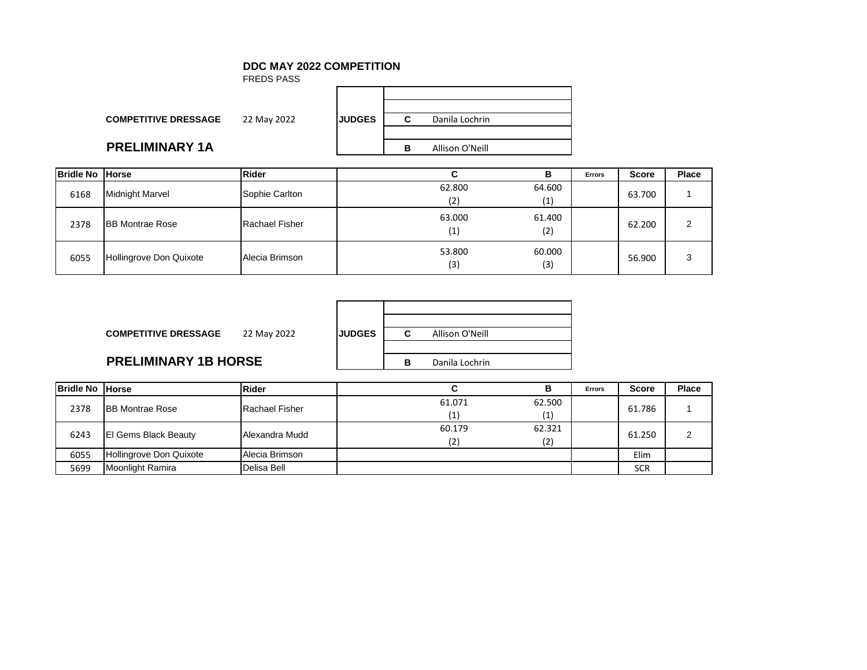#### **DDC MAY 2022 COMPETITION**

FREDS PASS

| <b>COMPETITIVE DRESSAGE</b> | 22 May 2022 | <b>JUDGES</b> |  |
|-----------------------------|-------------|---------------|--|

## **PRELIMINARY 1A**

| <b>DGES</b> | r | Danila Lochrin  |
|-------------|---|-----------------|
|             |   |                 |
|             | R | Allison O'Neill |
|             |   |                 |

| <b>Bridle No Horse</b> |                         | <b>Rider</b>          | P<br>в                                       | <b>Errors</b> | <b>Score</b> | Place |
|------------------------|-------------------------|-----------------------|----------------------------------------------|---------------|--------------|-------|
| 6168                   | <b>Midnight Marvel</b>  | Sophie Carlton        | 62.800<br>64.600<br>(1)<br>(2)               |               | 63.700       |       |
| 2378                   | <b>BB Montrae Rose</b>  | <b>Rachael Fisher</b> | 63.000<br>61.400<br>(2)<br>$\left( 1\right)$ |               | 62.200       | າ     |
| 6055                   | Hollingrove Don Quixote | Alecia Brimson        | 60.000<br>53.800<br>(3)<br>(3)               |               | 56.900       | 3     |

| <b>COMPETITIVE DRESSAGE</b> | 22 May 2022 | <b>IJUDGES</b> | C              | Allison O'Neill |  |
|-----------------------------|-------------|----------------|----------------|-----------------|--|
| <b>PRELIMINARY 1B HORSE</b> |             | в              | Danila Lochrin |                 |  |
|                             |             |                |                |                 |  |

| <b>Bridle No Horse</b> |                             | <b>Rider</b>          |        |        | <b>Errors</b> | <b>Score</b> | Place |
|------------------------|-----------------------------|-----------------------|--------|--------|---------------|--------------|-------|
| 2378                   | <b>IBB Montrae Rose</b>     | <b>Rachael Fisher</b> | 61.071 | 62.500 |               | 61.786       |       |
|                        |                             |                       |        | (1)    |               |              |       |
| 6243                   | <b>El Gems Black Beauty</b> | Alexandra Mudd        | 60.179 | 62.321 |               | 61.250       |       |
|                        |                             |                       | (2)    | (2)    |               |              |       |
| 6055                   | Hollingrove Don Quixote     | Alecia Brimson        |        |        |               | Elim         |       |
| 5699                   | Moonlight Ramira            | Delisa Bell           |        |        |               | <b>SCR</b>   |       |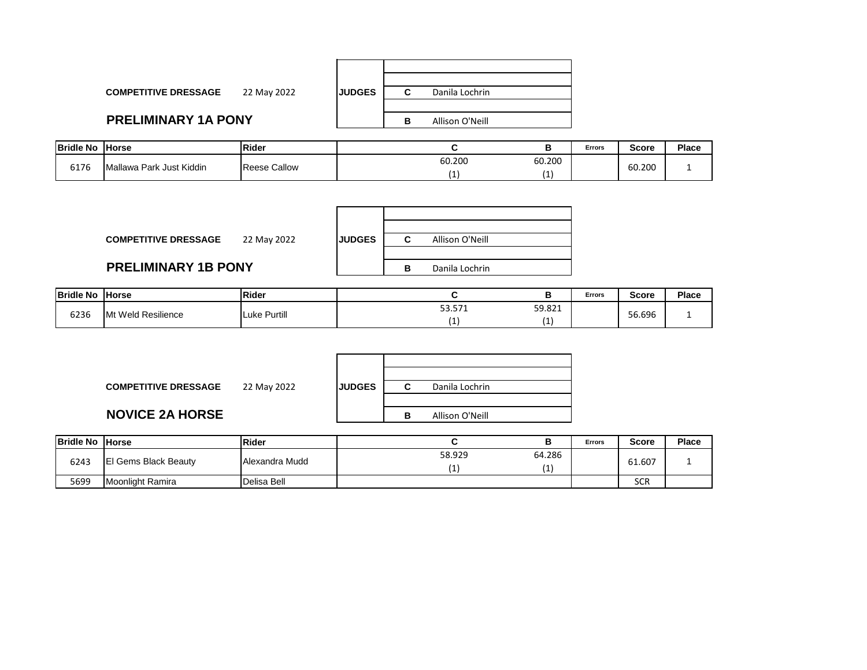| <b>COMPETITIVE DRESSAGE</b> | 22 May 2022 | <b>IJUDGES</b> | u | Danila Lochrin  |
|-----------------------------|-------------|----------------|---|-----------------|
|                             |             |                |   |                 |
| <b>PRELIMINARY 1A PONY</b>  |             |                | В | Allison O'Neill |
|                             |             |                |   |                 |

| <b>Bridle No</b> | <b>IHorse</b>            | Rider  |                  | <b>Errors</b> | <b>Score</b> | Place |
|------------------|--------------------------|--------|------------------|---------------|--------------|-------|
| 5176             | Mallawa Park Just Kiddin | Callow | 60.200<br>60.200 |               | 60.200       |       |
|                  |                          | ₹eese  |                  |               |              |       |

| <b>COMPETITIVE DRESSAGE</b><br>22 May 2022 | <b>JUDGES</b> | Allison O'Neill<br>С |
|--------------------------------------------|---------------|----------------------|
|                                            |               |                      |
| <b>PRELIMINARY 1B PONY</b>                 |               | Danila Lochrin<br>в  |

| <b>Bridle No</b> | <b>Horse</b>       | Rider               |                             |        | Errors | Score  | Place |
|------------------|--------------------|---------------------|-----------------------------|--------|--------|--------|-------|
| 6236             | Mt Weld Resilience | <b>Luke Purtill</b> | гŋ.<br>F74<br><u>JJ.JII</u> | 59.821 |        | 56.696 |       |
|                  |                    |                     |                             |        |        |        |       |

| <b>COMPETITIVE DRESSAGE</b> | 22 May 2022 | <b>JUDGES</b> |   | Danila Lochrin  |
|-----------------------------|-------------|---------------|---|-----------------|
| <b>NOVICE 2A HORSE</b>      |             |               | в | Allison O'Neill |

| <b>Bridle No Horse</b> |                             | <b>Rider</b>   |        |               | <b>Errors</b> | <b>Score</b> | Place |
|------------------------|-----------------------------|----------------|--------|---------------|---------------|--------------|-------|
| 6243                   | <b>El Gems Black Beauty</b> | Alexandra Mudd | 58.929 | 64.286<br>. . |               | 61.607       |       |
| 5699                   | Moonlight Ramira            | Delisa Bell    |        |               |               | <b>SCR</b>   |       |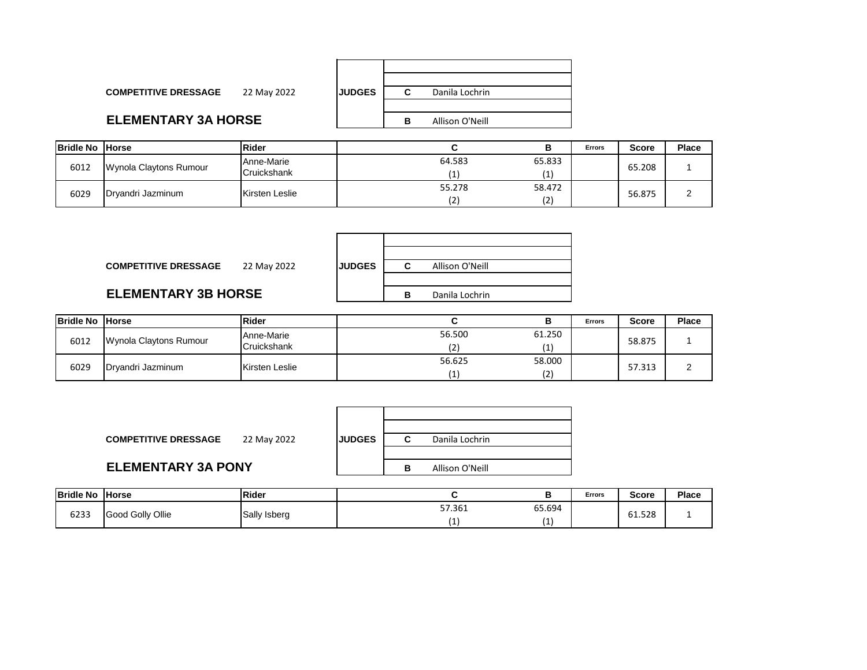| <b>JUDGES</b> |   | Danila Lochrin  |
|---------------|---|-----------------|
|               |   |                 |
|               | в | Allison O'Neill |

#### **ELEMENTARY 3A HORSE**

**COMPETITIVE DRESSAGE** 22 May 2022

| <b>Bridle No Horse</b> |                        | <b>Rider</b>              |        |               | <b>Errors</b> | <b>Score</b> | Place         |
|------------------------|------------------------|---------------------------|--------|---------------|---------------|--------------|---------------|
| 6012                   | Wynola Claytons Rumour | Anne-Marie<br>Cruickshank | 64.583 | 65.833        |               | 65.208       |               |
| 6029                   | Drvandri Jazminum      | Kirsten Leslie            | 55.278 | 58.472<br>(2) |               | 56.875       | ⌒<br><u>.</u> |

| <b>COMPETITIVE DRESSAGE</b><br>22 May 2022 | <b>JUDGES</b> | Allison O'Neill<br>С |
|--------------------------------------------|---------------|----------------------|
| <b>ELEMENTARY 3B HORSE</b>                 |               | Danila Lochrin<br>в  |

| <b>Bridle No Horse</b>         |                   | <b>Rider</b>   |        |        | <b>Errors</b> | <b>Score</b> | Place  |
|--------------------------------|-------------------|----------------|--------|--------|---------------|--------------|--------|
|                                |                   | Anne-Marie     | 56.500 | 61.250 |               | 58.875       |        |
| 6012<br>Wynola Claytons Rumour | Cruickshank       |                | 11     |        |               |              |        |
|                                |                   | Kirsten Leslie | 56.625 | 58.000 |               |              | $\sim$ |
| 6029                           | Dryandri Jazminum |                |        | (つ)    |               | 57.313       | -      |

| <b>COMPETITIVE DRESSAGE</b> | 22 May 2022 | <b>IJUDGES</b> |   | Danila Lochrin  |  |
|-----------------------------|-------------|----------------|---|-----------------|--|
|                             |             |                |   |                 |  |
| <b>ELEMENTARY 3A PONY</b>   |             |                | в | Allison O'Neill |  |

| <b>Bridle No</b>         | <b>Horse</b> | <b>IRider</b> |        |     | Errors | <b>Score</b> | <b>Place</b> |
|--------------------------|--------------|---------------|--------|-----|--------|--------------|--------------|
| 6233<br>Good Golly Ollie | Sally Isberg | 57.361        | 65.694 |     | 61.528 |              |              |
|                          |              |               |        | . . |        |              |              |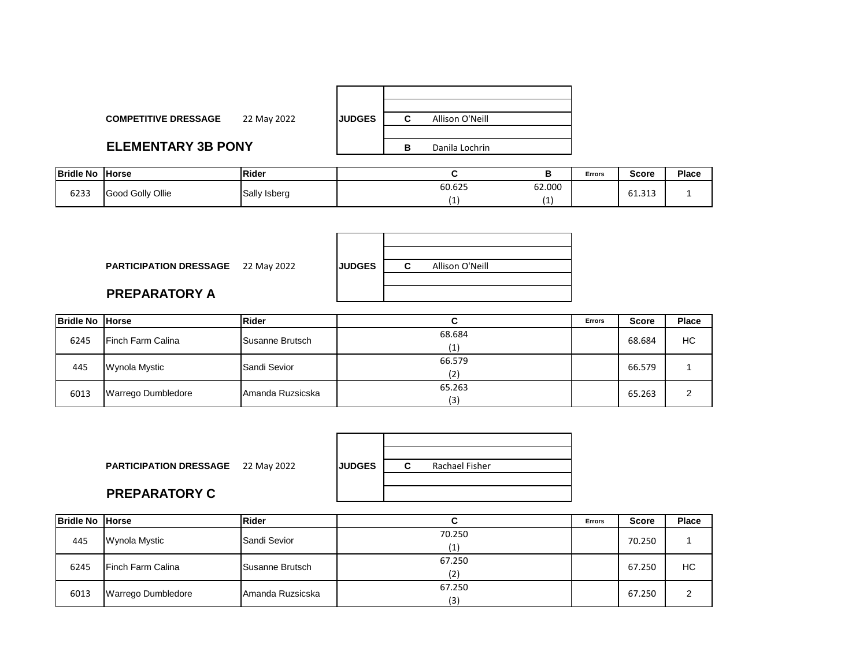| <b>COMPETITIVE DRESSAGE</b> | 22 May 2022 | <b>JUDGES</b> | С | Allison O'Neill |  |
|-----------------------------|-------------|---------------|---|-----------------|--|
| <b>ELEMENTARY 3B PONY</b>   |             |               | в | Danila Lochrin  |  |

| <b>Bridle No</b> | <b>Horse</b>     | Rider        |        |        | Errors | <b>Score</b>  | Place |
|------------------|------------------|--------------|--------|--------|--------|---------------|-------|
| 6233             | Good Golly Ollie | Sally Isberg | 60.625 | 62.000 |        | 242<br>61.313 |       |
|                  |                  |              |        |        |        |               |       |

| <b>PARTICIPATION DRESSAGE</b> 22 May 2022 | <b>JUDGES</b> | C. | Allison O'Neill |  |
|-------------------------------------------|---------------|----|-----------------|--|
| <b>PREPARATORY A</b>                      |               |    |                 |  |

| <b>Bridle No Horse</b> |                           | Rider            |        | <b>Errors</b> | <b>Score</b> | Place |
|------------------------|---------------------------|------------------|--------|---------------|--------------|-------|
| 6245                   | <b>IFinch Farm Calina</b> | Susanne Brutsch  | 68.684 |               | 68.684       | HC    |
|                        |                           |                  | (1)    |               |              |       |
| 445                    | Wynola Mystic             | Sandi Sevior     | 66.579 |               | 66.579       |       |
|                        |                           |                  | (2)    |               |              |       |
| 6013                   | Warrego Dumbledore        | Amanda Ruzsicska | 65.263 |               | 65.263       |       |
|                        |                           |                  | (3)    |               |              |       |

| <b>PARTICIPATION DRESSAGE</b> 22 May 2022 | <b>JUDGES</b> | Rachael Fisher |
|-------------------------------------------|---------------|----------------|
| <b>PREPARATORY C</b>                      |               |                |

| Bridle No Horse |                    | Rider                  | ີ             | <b>Errors</b> | <b>Score</b> | Place |
|-----------------|--------------------|------------------------|---------------|---------------|--------------|-------|
| 445             | Wynola Mystic      | Sandi Sevior           | 70.250        |               | 70.250       |       |
| 6245            | Finch Farm Calina  | <b>Susanne Brutsch</b> | 67.250<br>17' |               | 67.250       | HC    |
| 6013            | Warrego Dumbledore | Amanda Ruzsicska       | 67.250<br>(3) |               | 67.250       | ⌒     |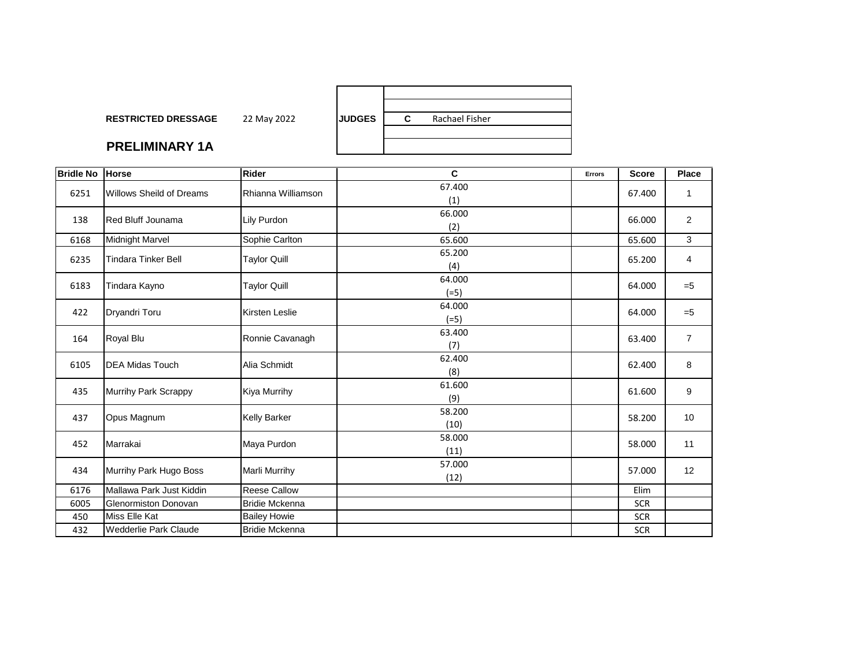| <b>RESTRICTED DRESSAGE</b> | 22 May 2022 | <b>IJUDGES</b> | С | Rachael Fisher |
|----------------------------|-------------|----------------|---|----------------|
|                            |             |                |   |                |
| <b>PRELIMINARY 1A</b>      |             |                |   |                |

#### **PRELIMINAR**

| <b>Bridle No</b> | <b>Horse</b>                    | <b>Rider</b>          | C      | Errors | <b>Score</b> | Place          |
|------------------|---------------------------------|-----------------------|--------|--------|--------------|----------------|
| 6251             | <b>Willows Sheild of Dreams</b> | Rhianna Williamson    | 67.400 |        | 67.400       |                |
|                  |                                 |                       | (1)    |        |              | 1              |
| 138              | <b>Red Bluff Jounama</b>        | Lily Purdon           | 66.000 |        |              | $\overline{2}$ |
|                  |                                 |                       | (2)    |        | 66.000       |                |
| 6168             | <b>Midnight Marvel</b>          | Sophie Carlton        | 65.600 |        | 65.600       | 3              |
| 6235             | <b>Tindara Tinker Bell</b>      | <b>Taylor Quill</b>   | 65.200 |        | 65.200       | 4              |
|                  |                                 |                       | (4)    |        |              |                |
| 6183             | Tindara Kayno                   | <b>Taylor Quill</b>   | 64.000 |        | 64.000       | $=5$           |
|                  |                                 |                       | $(=5)$ |        |              |                |
| 422              | Dryandri Toru                   | <b>Kirsten Leslie</b> | 64.000 |        | 64.000       | $=5$           |
|                  |                                 |                       | $(=5)$ |        |              |                |
| 164              | Royal Blu                       | Ronnie Cavanagh       | 63.400 |        | 63.400       | $\overline{7}$ |
|                  |                                 |                       | (7)    |        |              |                |
| 6105             | <b>DEA Midas Touch</b>          | Alia Schmidt          | 62.400 |        | 62.400       | 8              |
|                  |                                 |                       | (8)    |        |              |                |
| 435              | Murrihy Park Scrappy            | <b>Kiya Murrihy</b>   | 61.600 |        | 61.600       | 9              |
|                  |                                 |                       | (9)    |        |              |                |
| 437              | Opus Magnum                     | <b>Kelly Barker</b>   | 58.200 |        | 58.200       | 10             |
|                  |                                 |                       | (10)   |        |              |                |
| 452              | Marrakai                        | Maya Purdon           | 58.000 |        | 58.000       | 11             |
|                  |                                 |                       | (11)   |        |              |                |
| 434              | Murrihy Park Hugo Boss          | <b>Marli Murrihy</b>  | 57.000 |        | 57.000       | 12             |
|                  |                                 |                       | (12)   |        |              |                |
| 6176             | Mallawa Park Just Kiddin        | <b>Reese Callow</b>   |        |        | Elim         |                |
| 6005             | Glenormiston Donovan            | <b>Bridie Mckenna</b> |        |        | <b>SCR</b>   |                |
| 450              | <b>Miss Elle Kat</b>            | <b>Bailey Howie</b>   |        |        | <b>SCR</b>   |                |
| 432              | Wedderlie Park Claude           | <b>Bridie Mckenna</b> |        |        | <b>SCR</b>   |                |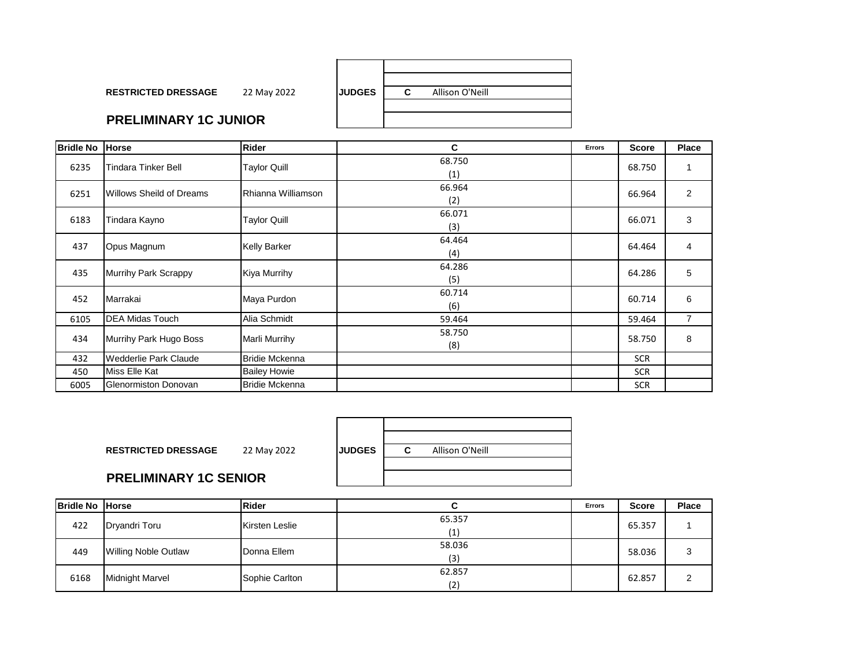| <b>RESTRICTED DRESSAGE</b>     | 22 May 2022 | <b>IJUDGES</b> | Allison O'Neill |  |
|--------------------------------|-------------|----------------|-----------------|--|
| <b>PRELIMINARY 1C. ILINIOR</b> |             |                |                 |  |

# **PRELIMINARY 1C JUNIOR**

| <b>Bridle No</b> | <b>Horse</b>                    | <b>Rider</b>          | C             | Errors | <b>Score</b> | Place          |
|------------------|---------------------------------|-----------------------|---------------|--------|--------------|----------------|
| 6235             | <b>Tindara Tinker Bell</b>      | <b>Taylor Quill</b>   | 68.750<br>(1) |        | 68.750       | 1              |
| 6251             | <b>Willows Sheild of Dreams</b> | Rhianna Williamson    | 66.964<br>(2) |        | 66.964       | $\overline{2}$ |
| 6183             | Tindara Kayno                   | <b>Taylor Quill</b>   | 66.071<br>(3) |        | 66.071       | 3              |
| 437              | Opus Magnum                     | <b>Kelly Barker</b>   | 64.464<br>(4) |        | 64.464       | 4              |
| 435              | Murrihy Park Scrappy            | Kiya Murrihy          | 64.286<br>(5) |        | 64.286       | 5              |
| 452              | Marrakai                        | Maya Purdon           | 60.714<br>(6) |        | 60.714       | 6              |
| 6105             | <b>DEA Midas Touch</b>          | Alia Schmidt          | 59.464        |        | 59.464       | $\overline{7}$ |
| 434              | Murrihy Park Hugo Boss          | Marli Murrihy         | 58.750<br>(8) |        | 58.750       | 8              |
| 432              | Wedderlie Park Claude           | <b>Bridie Mckenna</b> |               |        | <b>SCR</b>   |                |
| 450              | Miss Elle Kat                   | <b>Bailey Howie</b>   |               |        | <b>SCR</b>   |                |
| 6005             | Glenormiston Donovan            | <b>Bridie Mckenna</b> |               |        | <b>SCR</b>   |                |

| <b>RESTRICTED DRESSAGE</b>   | 22 May 2022 | <b>JUDGES</b> | Allison O'Neill |  |
|------------------------------|-------------|---------------|-----------------|--|
| <b>PRELIMINARY 1C SENIOR</b> |             |               |                 |  |

#### **PRELI**

| <b>Bridle No Horse</b> |                             | <b>Rider</b>   |               | <b>Errors</b> | <b>Score</b> | <b>Place</b> |
|------------------------|-----------------------------|----------------|---------------|---------------|--------------|--------------|
| 422                    | Dryandri Toru               | Kirsten Leslie | 65.357<br>(1) |               | 65.357       |              |
| 449                    | <b>Willing Noble Outlaw</b> | Donna Ellem    | 58.036<br>(3) |               | 58.036       | 3            |
| 6168                   | <b>Midnight Marvel</b>      | Sophie Carlton | 62.857<br>(2) |               | 62.857       |              |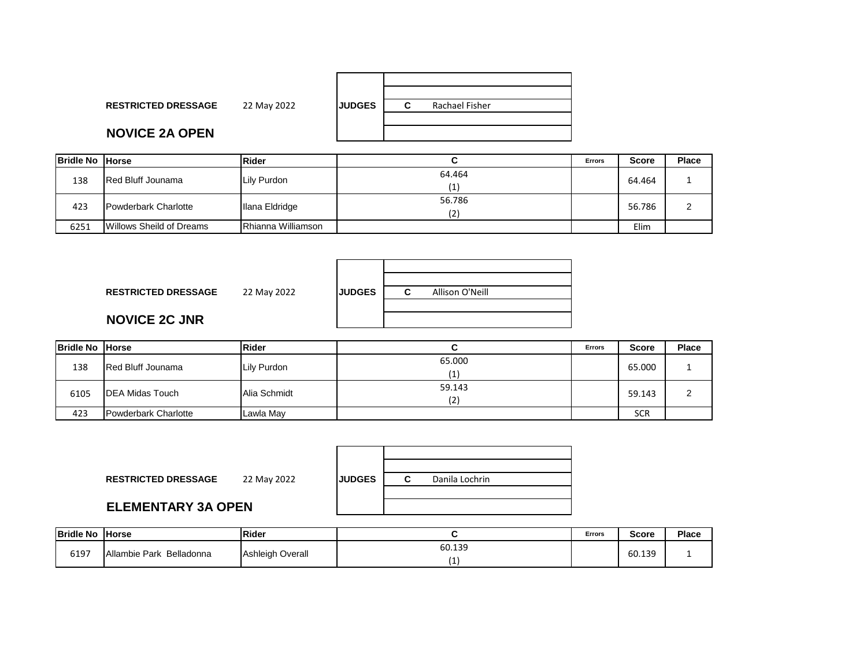| <b>RESTRICTED DRESSAGE</b> | 22 May 2022 | <b>JUDGES</b> | C | Rachael Fisher |
|----------------------------|-------------|---------------|---|----------------|
|                            |             |               |   |                |
| <b>NOVICE 2A OPEN</b>      |             |               |   |                |
|                            |             |               |   |                |

| <b>Bridle No Horse</b> |                          | Rider                     |               | <b>Errors</b> | <b>Score</b> | Place |
|------------------------|--------------------------|---------------------------|---------------|---------------|--------------|-------|
| 138                    | <b>Red Bluff Jounama</b> | Lily Purdon               | 64.464<br>(1) |               | 64.464       |       |
| 423                    | Powderbark Charlotte     | Ilana Eldridge            | 56.786<br>17) |               | 56.786       |       |
| 6251                   | Willows Sheild of Dreams | <b>Rhianna Williamson</b> |               |               | Elim         |       |

| <b>RESTRICTED DRESSAGE</b> | 22 May 2022 | <b>JUDGES</b> | Allison O'Neill<br>С |
|----------------------------|-------------|---------------|----------------------|
| <b>NOVICE 2C JNR</b>       |             |               |                      |

| <b>Bridle No Horse</b> |                          | <b>Rider</b> |        | <b>Errors</b> | <b>Score</b> | Place |
|------------------------|--------------------------|--------------|--------|---------------|--------------|-------|
| 138                    | <b>Red Bluff Jounama</b> | Lily Purdon  | 65.000 |               | 65.000       |       |
| 6105                   | <b>IDEA Midas Touch</b>  | Alia Schmidt | 59.143 |               | 59.143       | ົ     |
| 423                    | Powderbark Charlotte     | Lawla May    |        |               | <b>SCR</b>   |       |

| <b>RESTRICTED DRESSAGE</b> | 22 May 2022 | <b>IJUDGES</b> | Danila Lochrin |
|----------------------------|-------------|----------------|----------------|
| <b>ELEMENTARY 3A OPEN</b>  |             |                |                |

### **ELEMEI**

| <b>Bridle No</b> | <b>Horse</b>                | Rider            |        | <b>Errors</b> | Score  | <b>Place</b> |
|------------------|-----------------------------|------------------|--------|---------------|--------|--------------|
| 6197             | Allambie Park<br>Belladonna | Ashleigh Overall | 60.139 |               | 60.139 |              |